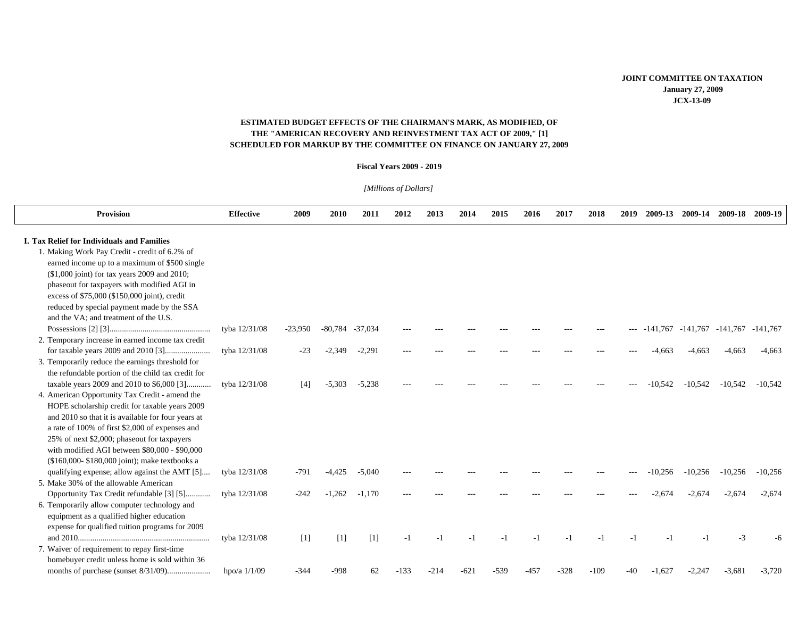## **ESTIMATED BUDGET EFFECTS OF THE CHAIRMAN'S MARK, AS MODIFIED, OF THE "AMERICAN RECOVERY AND REINVESTMENT TAX ACT OF 2009," [1] SCHEDULED FOR MARKUP BY THE COMMITTEE ON FINANCE ON JANUARY 27, 2009**

## **Fiscal Years 2009 - 2019**

*[Millions of Dollars]*

| <b>Provision</b>                                                                                                                                                                                                                                                                                                                                                                                         | <b>Effective</b> | 2009              | 2010              | 2011      | 2012   | 2013   | 2014   | 2015   | 2016   | 2017   | 2018   | 2019 | 2009-13    | 2009-14   | 2009-18                          | 2009-19   |
|----------------------------------------------------------------------------------------------------------------------------------------------------------------------------------------------------------------------------------------------------------------------------------------------------------------------------------------------------------------------------------------------------------|------------------|-------------------|-------------------|-----------|--------|--------|--------|--------|--------|--------|--------|------|------------|-----------|----------------------------------|-----------|
| <b>I. Tax Relief for Individuals and Families</b><br>1. Making Work Pay Credit - credit of 6.2% of<br>earned income up to a maximum of \$500 single<br>(\$1,000 joint) for tax years 2009 and 2010;<br>phaseout for taxpayers with modified AGI in<br>excess of \$75,000 (\$150,000 joint), credit<br>reduced by special payment made by the SSA<br>and the VA: and treatment of the U.S.                |                  |                   |                   |           |        |        |        |        |        |        |        |      |            |           |                                  |           |
|                                                                                                                                                                                                                                                                                                                                                                                                          | tyba 12/31/08    | $-23,950$         | $-80,784$         | $-37,034$ |        |        |        |        |        |        |        |      | $-141,767$ |           | $-141,767$ $-141,767$ $-141,767$ |           |
| 2. Temporary increase in earned income tax credit<br>3. Temporarily reduce the earnings threshold for<br>the refundable portion of the child tax credit for                                                                                                                                                                                                                                              | tyba 12/31/08    | $-23$             | $-2,349$          | $-2,291$  |        |        |        |        |        |        |        |      | -4.663     | $-4,663$  | $-4,663$                         | $-4,663$  |
| taxable years 2009 and 2010 to \$6,000 [3]<br>4. American Opportunity Tax Credit - amend the<br>HOPE scholarship credit for taxable years 2009<br>and 2010 so that it is available for four years at<br>a rate of 100% of first \$2,000 of expenses and<br>25% of next \$2,000; phaseout for taxpayers<br>with modified AGI between \$80,000 - \$90,000<br>(\$160,000-\$180,000 joint); make textbooks a | tyba 12/31/08    | [4]               | $-5,303$          | $-5,238$  |        |        |        |        |        |        |        |      | $-10.542$  | $-10,542$ | $-10,542$                        | $-10.542$ |
| qualifying expense; allow against the AMT [5]                                                                                                                                                                                                                                                                                                                                                            | tyba 12/31/08    | $-791$            | $-4.425$          | $-5,040$  |        |        |        |        |        |        |        |      | $-10,256$  | $-10,256$ | $-10,256$                        | $-10,256$ |
| 5. Make 30% of the allowable American<br>Opportunity Tax Credit refundable [3] [5]<br>6. Temporarily allow computer technology and<br>equipment as a qualified higher education<br>expense for qualified tuition programs for 2009                                                                                                                                                                       | tyba 12/31/08    | $-242$            | $-1,262$          | $-1,170$  |        |        |        |        |        |        |        |      | -2.674     | $-2.674$  | $-2,674$                         | $-2,674$  |
| 7. Waiver of requirement to repay first-time<br>homebuyer credit unless home is sold within 36                                                                                                                                                                                                                                                                                                           | tyba 12/31/08    | $\lceil 1 \rceil$ | $\lceil 1 \rceil$ | [1]       | $-1$   | - 1    | $-1$   |        | $-1$   | $-1$   | шí     | $-1$ |            |           | $-3$                             | -6        |
|                                                                                                                                                                                                                                                                                                                                                                                                          | hpo/a $1/1/09$   | $-344$            | $-998$            | 62        | $-133$ | $-214$ | $-621$ | $-539$ | $-457$ | $-328$ | $-109$ | -40  | $-1,627$   | $-2,247$  | $-3,681$                         | $-3,720$  |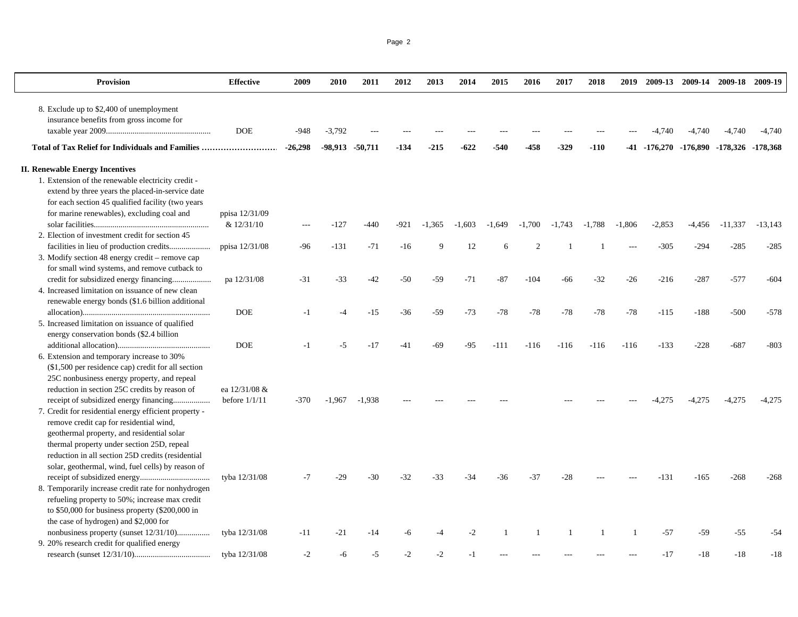|--|--|

| <b>Provision</b>                                                                        | Effective                        | 2009      | 2010            | 2011     | 2012   | 2013     | 2014     | 2015     | 2016     | 2017     | 2018     | 2019     |                                         | 2009-13 2009-14 2009-18 2009-19 |           |           |
|-----------------------------------------------------------------------------------------|----------------------------------|-----------|-----------------|----------|--------|----------|----------|----------|----------|----------|----------|----------|-----------------------------------------|---------------------------------|-----------|-----------|
| 8. Exclude up to \$2,400 of unemployment                                                |                                  |           |                 |          |        |          |          |          |          |          |          |          |                                         |                                 |           |           |
| insurance benefits from gross income for                                                |                                  |           |                 |          |        |          |          |          |          |          |          |          |                                         |                                 |           |           |
|                                                                                         | <b>DOE</b>                       | -948      | $-3,792$        |          |        |          |          |          |          |          |          |          |                                         | -4,740                          | $-4,740$  | $-4,740$  |
| Total of Tax Relief for Individuals and Families                                        |                                  | $-26,298$ | -98,913 -50,711 |          | $-134$ | $-215$   | $-622$   | -540     | -458     | $-329$   | $-110$   |          | -41 -176,270 -176,890 -178,326 -178,368 |                                 |           |           |
| <b>II. Renewable Energy Incentives</b>                                                  |                                  |           |                 |          |        |          |          |          |          |          |          |          |                                         |                                 |           |           |
| 1. Extension of the renewable electricity credit -                                      |                                  |           |                 |          |        |          |          |          |          |          |          |          |                                         |                                 |           |           |
| extend by three years the placed-in-service date                                        |                                  |           |                 |          |        |          |          |          |          |          |          |          |                                         |                                 |           |           |
| for each section 45 qualified facility (two years                                       |                                  |           |                 |          |        |          |          |          |          |          |          |          |                                         |                                 |           |           |
| for marine renewables), excluding coal and                                              | ppisa 12/31/09                   |           |                 |          |        |          |          |          |          |          |          |          |                                         |                                 |           |           |
|                                                                                         | & 12/31/10                       | ---       | $-127$          | $-440$   | -921   | $-1,365$ | $-1,603$ | $-1,649$ | $-1,700$ | $-1,743$ | $-1,788$ | $-1,806$ | $-2,853$                                | $-4,456$                        | $-11,337$ | $-13,143$ |
| 2. Election of investment credit for section 45                                         |                                  |           |                 |          |        |          |          |          |          |          |          |          |                                         |                                 |           |           |
| facilities in lieu of production credits                                                | ppisa 12/31/08                   | $-96$     | $-131$          | $-71$    | $-16$  | 9        | 12       | 6        | 2        |          |          |          | $-305$                                  | $-294$                          | $-285$    | $-285$    |
| 3. Modify section 48 energy credit - remove cap                                         |                                  |           |                 |          |        |          |          |          |          |          |          |          |                                         |                                 |           |           |
| for small wind systems, and remove cutback to                                           |                                  |           |                 |          |        |          |          |          |          |          |          |          |                                         |                                 |           |           |
| credit for subsidized energy financing                                                  | pa 12/31/08                      | $-31$     | $-33$           | $-42$    | $-50$  | $-59$    | $-71$    | $-87$    | $-104$   | -66      | $-32$    | $-26$    | $-216$                                  | $-287$                          | $-577$    | $-604$    |
| 4. Increased limitation on issuance of new clean                                        |                                  |           |                 |          |        |          |          |          |          |          |          |          |                                         |                                 |           |           |
| renewable energy bonds (\$1.6 billion additional                                        |                                  |           |                 |          |        |          |          |          |          |          |          |          |                                         |                                 |           |           |
|                                                                                         | <b>DOE</b>                       | $-1$      | $-4$            | $-15$    | $-36$  | $-59$    | $-73$    | $-78$    | $-78$    | $-78$    | $-78$    | $-78$    | $-115$                                  | $-188$                          | $-500$    | $-578$    |
| 5. Increased limitation on issuance of qualified                                        |                                  |           |                 |          |        |          |          |          |          |          |          |          |                                         |                                 |           |           |
| energy conservation bonds (\$2.4 billion                                                |                                  |           |                 |          |        |          |          |          |          |          |          |          |                                         |                                 |           |           |
|                                                                                         | <b>DOE</b>                       | $-1$      | -5              | $-17$    | $-41$  | -69      | $-95$    | $-111$   | $-116$   | $-116$   | $-116$   | $-116$   | $-133$                                  | $-228$                          | $-687$    | $-803$    |
| 6. Extension and temporary increase to 30%                                              |                                  |           |                 |          |        |          |          |          |          |          |          |          |                                         |                                 |           |           |
| (\$1,500 per residence cap) credit for all section                                      |                                  |           |                 |          |        |          |          |          |          |          |          |          |                                         |                                 |           |           |
| 25C nonbusiness energy property, and repeal                                             |                                  |           |                 |          |        |          |          |          |          |          |          |          |                                         |                                 |           |           |
| reduction in section 25C credits by reason of<br>receipt of subsidized energy financing | ea 12/31/08 &<br>before $1/1/11$ | $-370$    | $-1,967$        | $-1,938$ |        |          |          |          |          |          |          |          | 4.275                                   | $-4,275$                        | $-4,275$  | $-4,275$  |
| 7. Credit for residential energy efficient property -                                   |                                  |           |                 |          |        |          |          |          |          |          |          |          |                                         |                                 |           |           |
| remove credit cap for residential wind,                                                 |                                  |           |                 |          |        |          |          |          |          |          |          |          |                                         |                                 |           |           |
| geothermal property, and residential solar                                              |                                  |           |                 |          |        |          |          |          |          |          |          |          |                                         |                                 |           |           |
| thermal property under section 25D, repeal                                              |                                  |           |                 |          |        |          |          |          |          |          |          |          |                                         |                                 |           |           |
| reduction in all section 25D credits (residential                                       |                                  |           |                 |          |        |          |          |          |          |          |          |          |                                         |                                 |           |           |
| solar, geothermal, wind, fuel cells) by reason of                                       |                                  |           |                 |          |        |          |          |          |          |          |          |          |                                         |                                 |           |           |
|                                                                                         | tyba 12/31/08                    | $-7$      | -29             | $-30$    | $-32$  | $-33$    | $-34$    | $-36$    | $-37$    | $-28$    |          |          | $-131$                                  | $-165$                          | $-268$    | $-268$    |
| 8. Temporarily increase credit rate for nonhydrogen                                     |                                  |           |                 |          |        |          |          |          |          |          |          |          |                                         |                                 |           |           |
| refueling property to 50%; increase max credit                                          |                                  |           |                 |          |        |          |          |          |          |          |          |          |                                         |                                 |           |           |
| to \$50,000 for business property (\$200,000 in                                         |                                  |           |                 |          |        |          |          |          |          |          |          |          |                                         |                                 |           |           |
| the case of hydrogen) and \$2,000 for                                                   |                                  |           |                 |          |        |          |          |          |          |          |          |          |                                         |                                 |           |           |
| nonbusiness property (sunset 12/31/10)                                                  | tyba 12/31/08                    | $-11$     | $-21$           | $-14$    | -6     |          | $-2$     |          |          |          | -1       |          | $-57$                                   | -59                             | $-55$     | $-54$     |
| 9. 20% research credit for qualified energy                                             |                                  |           |                 |          |        |          |          |          |          |          |          |          |                                         |                                 |           |           |
|                                                                                         | tyba 12/31/08                    | $-2$      | -6              | $-5$     | $-2$   | $-2$     | $-1$     |          |          |          |          |          | $-17$                                   | $-18$                           | $-18$     | $-18$     |
|                                                                                         |                                  |           |                 |          |        |          |          |          |          |          |          |          |                                         |                                 |           |           |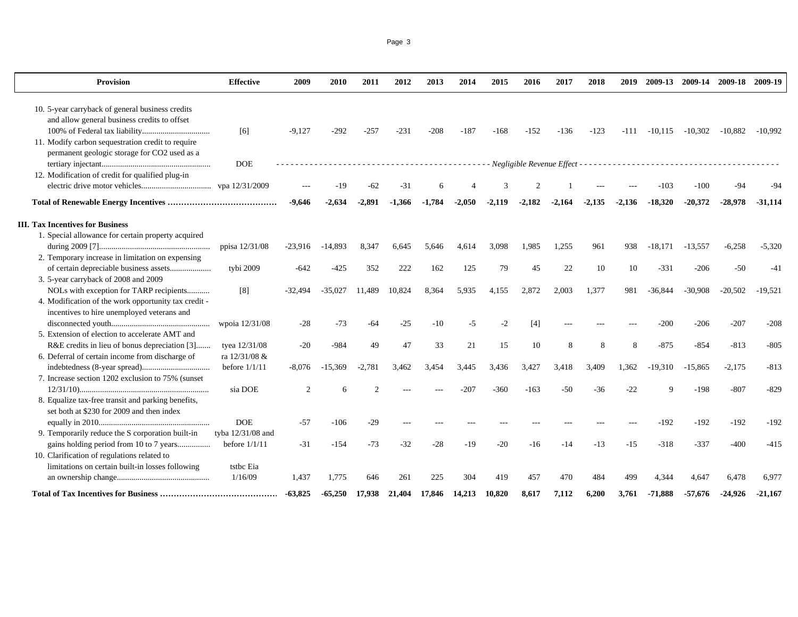Page 3

| Provision                                            | <b>Effective</b>  | 2009          | 2010      | 2011     | 2012     | 2013     | 2014     | 2015     | 2016     | 2017     | 2018     | 2019     | 2009-13   | 2009-14   | 2009-18 2009-19 |            |
|------------------------------------------------------|-------------------|---------------|-----------|----------|----------|----------|----------|----------|----------|----------|----------|----------|-----------|-----------|-----------------|------------|
| 10. 5-year carryback of general business credits     |                   |               |           |          |          |          |          |          |          |          |          |          |           |           |                 |            |
| and allow general business credits to offset         |                   |               |           |          |          |          |          |          |          |          |          |          |           |           |                 |            |
|                                                      | [6]               | $-9,127$      | $-292$    | $-257$   | $-231$   | $-208$   | $-187$   | $-168$   | $-152$   | $-136$   | $-123$   | -111     | $-10,115$ | $-10,302$ | $-10,882$       | $-10.992$  |
| 11. Modify carbon sequestration credit to require    |                   |               |           |          |          |          |          |          |          |          |          |          |           |           |                 |            |
| permanent geologic storage for CO2 used as a         |                   |               |           |          |          |          |          |          |          |          |          |          |           |           |                 |            |
|                                                      | <b>DOE</b>        |               |           |          |          | .        |          |          |          |          |          |          |           |           |                 |            |
| 12. Modification of credit for qualified plug-in     |                   |               |           |          |          |          |          |          |          |          |          |          |           |           |                 |            |
|                                                      |                   |               | -19       | $-62$    | $-31$    |          |          |          |          |          |          |          | $-103$    | $-100$    | $-94$           |            |
|                                                      |                   | $-9,646$      | $-2.634$  | $-2.891$ | $-1.366$ | $-1,784$ | $-2,050$ | $-2,119$ | $-2,182$ | $-2,164$ | $-2,135$ | $-2.136$ | $-18.320$ | $-20,372$ | $-28.978$       | $-31,114$  |
| <b>III. Tax Incentives for Business</b>              |                   |               |           |          |          |          |          |          |          |          |          |          |           |           |                 |            |
| 1. Special allowance for certain property acquired   |                   |               |           |          |          |          |          |          |          |          |          |          |           |           |                 |            |
|                                                      | ppisa 12/31/08    | $-23,916$     | $-14,893$ | 8,347    | 6.645    | 5,646    | 4.614    | 3.098    | 1,985    | 1,255    | 961      | 938      | $-18.171$ | $-13,557$ | $-6,258$        | $-5,320$   |
| 2. Temporary increase in limitation on expensing     |                   |               |           |          |          |          |          |          |          |          |          |          |           |           |                 |            |
| of certain depreciable business assets               | tybi 2009         | $-642$        | $-425$    | 352      | 222      | 162      | 125      | 79       | 45       | 22       | 10       | 10       | $-331$    | $-206$    | $-50$           | $-4^\circ$ |
| 3. 5-year carryback of 2008 and 2009                 |                   |               |           |          |          |          |          |          |          |          |          |          |           |           |                 |            |
| NOLs with exception for TARP recipients              | [8]               | -32.494       | $-35,027$ | 11,489   | 10,824   | 8,364    | 5.935    | 4.155    | 2.872    | 2.003    | 1,377    | 981      | $-36.844$ | $-30,908$ | $-20,502$       | $-19.521$  |
| 4. Modification of the work opportunity tax credit - |                   |               |           |          |          |          |          |          |          |          |          |          |           |           |                 |            |
| incentives to hire unemployed veterans and           |                   |               |           |          |          |          |          |          |          |          |          |          |           |           |                 |            |
|                                                      | wpoia 12/31/08    | $-28$         | $-73$     | -64      | $-25$    | -10      | $-5$     | $-2$     | [4]      |          |          |          | $-200$    | $-206$    | $-207$          | $-208$     |
| 5. Extension of election to accelerate AMT and       |                   |               |           |          |          |          |          |          |          |          |          |          |           |           |                 |            |
| R&E credits in lieu of bonus depreciation [3]        | tyea 12/31/08     | $-20$         | -984      | 49       | 47       | 33       | 21       | 15       | 10       | 8        | 8        | 8        | $-875$    | $-854$    | $-813$          | $-805$     |
| 6. Deferral of certain income from discharge of      | ra 12/31/08 &     |               |           |          |          |          |          |          |          |          |          |          |           |           |                 |            |
|                                                      | before $1/1/11$   | $-8,076$      | $-15,369$ | $-2,781$ | 3,462    | 3,454    | 3,445    | 3.436    | 3,427    | 3,418    | 3,409    | 1,362    | $-19.310$ | $-15,865$ | $-2,175$        | $-813$     |
| 7. Increase section 1202 exclusion to 75% (sunset)   |                   |               |           |          |          |          |          |          |          |          |          |          |           |           |                 |            |
|                                                      | sia DOE           | $\mathcal{D}$ |           |          |          |          | -207     | -360     | $-163$   | $-50$    | $-36$    | $-22$    |           | $-198$    | $-807$          | $-829$     |
| 8. Equalize tax-free transit and parking benefits,   |                   |               |           |          |          |          |          |          |          |          |          |          |           |           |                 |            |
| set both at \$230 for 2009 and then index            |                   |               |           |          |          |          |          |          |          |          |          |          |           |           |                 |            |
|                                                      | <b>DOE</b>        | $-57$         | $-106$    | $-29$    |          |          |          |          |          |          |          |          | $-192$    | $-192$    | $-192$          | $-192$     |
| 9. Temporarily reduce the S corporation built-in     | tyba 12/31/08 and |               |           |          |          |          |          |          |          |          |          |          |           |           |                 |            |
| gains holding period from 10 to 7 years              | before $1/1/11$   | $-31$         | $-154$    | $-73$    | $-32$    | $-28$    | $-19$    | $-20$    | $-16$    | $-14$    | $-13$    | $-15$    | $-318$    | $-337$    | $-400$          | $-415$     |
| 10. Clarification of regulations related to          |                   |               |           |          |          |          |          |          |          |          |          |          |           |           |                 |            |
| limitations on certain built-in losses following     | tstbc Eia         |               |           |          |          |          |          |          |          |          |          |          |           |           |                 |            |
|                                                      | 1/16/09           | 1,437         | 1.775     | 646      | 261      | 225      | 304      | 419      | 457      | 470      | 484      | 499      | 4.344     | 4.647     | 6,478           | 6,977      |
|                                                      |                   | $-63,825$     | $-65,250$ | 17.938   | 21.404   | 17,846   | 14,213   | 10,820   | 8,617    | 7,112    | 6,200    | 3,761    | $-71,888$ | $-57,676$ | $-24,926$       | $-21,167$  |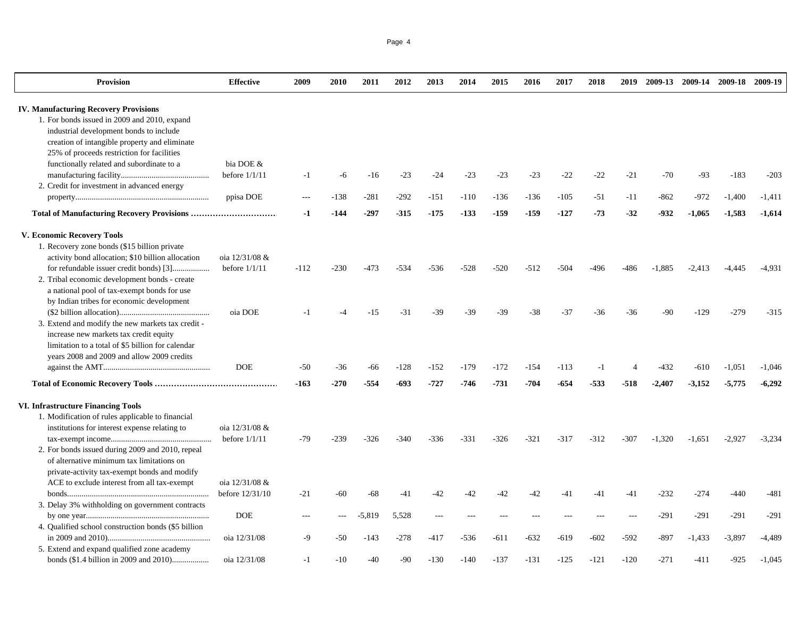| <b>Provision</b>                                    | <b>Effective</b> | 2009   | 2010   | 2011     | 2012   | 2013   | 2014   | 2015   | 2016   | 2017   | 2018   | 2019   | 2009-13  | 2009-14  |          | 2009-18 2009-19 |
|-----------------------------------------------------|------------------|--------|--------|----------|--------|--------|--------|--------|--------|--------|--------|--------|----------|----------|----------|-----------------|
| <b>IV. Manufacturing Recovery Provisions</b>        |                  |        |        |          |        |        |        |        |        |        |        |        |          |          |          |                 |
| 1. For bonds issued in 2009 and 2010, expand        |                  |        |        |          |        |        |        |        |        |        |        |        |          |          |          |                 |
| industrial development bonds to include             |                  |        |        |          |        |        |        |        |        |        |        |        |          |          |          |                 |
| creation of intangible property and eliminate       |                  |        |        |          |        |        |        |        |        |        |        |        |          |          |          |                 |
| 25% of proceeds restriction for facilities          |                  |        |        |          |        |        |        |        |        |        |        |        |          |          |          |                 |
| functionally related and subordinate to a           | bia DOE &        |        |        |          |        |        |        |        |        |        |        |        |          |          |          |                 |
|                                                     | before $1/1/11$  | $-1$   | -6     | $-16$    | $-23$  | $-24$  | $-23$  | $-23$  | $-23$  | $-22$  | $-22$  | $-21$  | $-70$    | $-93$    | $-183$   | $-203$          |
| 2. Credit for investment in advanced energy         |                  |        |        |          |        |        |        |        |        |        |        |        |          |          |          |                 |
|                                                     | ppisa DOE        | $---$  | $-138$ | $-281$   | $-292$ | $-151$ | $-110$ | $-136$ | $-136$ | $-105$ | $-51$  | $-11$  | $-862$   | $-972$   | $-1,400$ | $-1,411$        |
|                                                     |                  | -1     | -144   | -297     | -315   | -175   | $-133$ | -159   | -159   | $-127$ | $-73$  | $-32$  | -932     | $-1,065$ | -1,583   | $-1,614$        |
| V. Economic Recovery Tools                          |                  |        |        |          |        |        |        |        |        |        |        |        |          |          |          |                 |
| 1. Recovery zone bonds (\$15 billion private        |                  |        |        |          |        |        |        |        |        |        |        |        |          |          |          |                 |
| activity bond allocation; \$10 billion allocation   | oia 12/31/08 &   |        |        |          |        |        |        |        |        |        |        |        |          |          |          |                 |
|                                                     | before $1/1/11$  | $-112$ | $-230$ | $-473$   | $-534$ | $-536$ | $-528$ | $-520$ | $-512$ | $-504$ | -496   | -486   | $-1,885$ | $-2,413$ | $-4,445$ | $-4,931$        |
| 2. Tribal economic development bonds - create       |                  |        |        |          |        |        |        |        |        |        |        |        |          |          |          |                 |
| a national pool of tax-exempt bonds for use         |                  |        |        |          |        |        |        |        |        |        |        |        |          |          |          |                 |
| by Indian tribes for economic development           |                  |        |        |          |        |        |        |        |        |        |        |        |          |          |          |                 |
|                                                     | oia DOE          | $-1$   |        | $-15$    | $-31$  | $-39$  | $-39$  | $-39$  | $-38$  | $-37$  | $-36$  | -36    | $-90$    | $-129$   | $-279$   | $-315$          |
| 3. Extend and modify the new markets tax credit -   |                  |        |        |          |        |        |        |        |        |        |        |        |          |          |          |                 |
| increase new markets tax credit equity              |                  |        |        |          |        |        |        |        |        |        |        |        |          |          |          |                 |
| limitation to a total of \$5 billion for calendar   |                  |        |        |          |        |        |        |        |        |        |        |        |          |          |          |                 |
| years 2008 and 2009 and allow 2009 credits          |                  |        |        |          |        |        |        |        |        |        |        |        |          |          |          |                 |
|                                                     | <b>DOE</b>       | $-50$  | $-36$  | $-66$    | $-128$ | $-152$ | $-179$ | $-172$ | $-154$ | $-113$ | $-1$   |        | $-432$   | $-610$   | $-1,051$ | $-1,046$        |
|                                                     |                  | $-163$ | $-270$ | $-554$   | $-693$ | $-727$ | $-746$ | $-731$ | $-704$ | $-654$ | $-533$ | $-518$ | $-2,407$ | $-3,152$ | $-5,775$ | $-6,292$        |
| <b>VI. Infrastructure Financing Tools</b>           |                  |        |        |          |        |        |        |        |        |        |        |        |          |          |          |                 |
| 1. Modification of rules applicable to financial    |                  |        |        |          |        |        |        |        |        |        |        |        |          |          |          |                 |
| institutions for interest expense relating to       | oia 12/31/08 &   |        |        |          |        |        |        |        |        |        |        |        |          |          |          |                 |
|                                                     | before $1/1/11$  | $-79$  | -239   | $-326$   | $-340$ | $-336$ | $-331$ | $-326$ | $-321$ | $-317$ | $-312$ | $-307$ | $-1,320$ | $-1,651$ | $-2.927$ | $-3,234$        |
| 2. For bonds issued during 2009 and 2010, repeal    |                  |        |        |          |        |        |        |        |        |        |        |        |          |          |          |                 |
| of alternative minimum tax limitations on           |                  |        |        |          |        |        |        |        |        |        |        |        |          |          |          |                 |
| private-activity tax-exempt bonds and modify        |                  |        |        |          |        |        |        |        |        |        |        |        |          |          |          |                 |
| ACE to exclude interest from all tax-exempt         | oia 12/31/08 &   |        |        |          |        |        |        |        |        |        |        |        |          |          |          |                 |
|                                                     | before 12/31/10  | $-21$  | $-60$  | $-68$    | $-41$  | $-42$  | $-42$  | $-42$  | $-42$  | -41    | $-41$  | -41    | $-232$   | $-274$   | $-440$   | $-481$          |
| 3. Delay 3% withholding on government contracts     |                  |        |        |          |        |        |        |        |        |        |        |        |          |          |          |                 |
|                                                     | <b>DOE</b>       |        |        | $-5,819$ | 5,528  |        |        |        |        |        |        |        | $-291$   | $-291$   | $-291$   | $-291$          |
| 4. Qualified school construction bonds (\$5 billion |                  |        |        |          |        |        |        |        |        |        |        |        |          |          |          |                 |
|                                                     | oia 12/31/08     | -9     | -50    | $-143$   | $-278$ | $-417$ | $-536$ | $-611$ | $-632$ | $-619$ | $-602$ | $-592$ | $-897$   | $-1,433$ | $-3,897$ | -4,489          |
| 5. Extend and expand qualified zone academy         |                  |        |        |          |        |        |        |        |        |        |        |        |          |          |          |                 |

bonds (\$1.4 billion in 2009 and 2010).................. oia 12/31/08 -1 -10 -40 -90 -130 -140 -137 -131 -125 -121 -120 -271 -411 -925 -1,045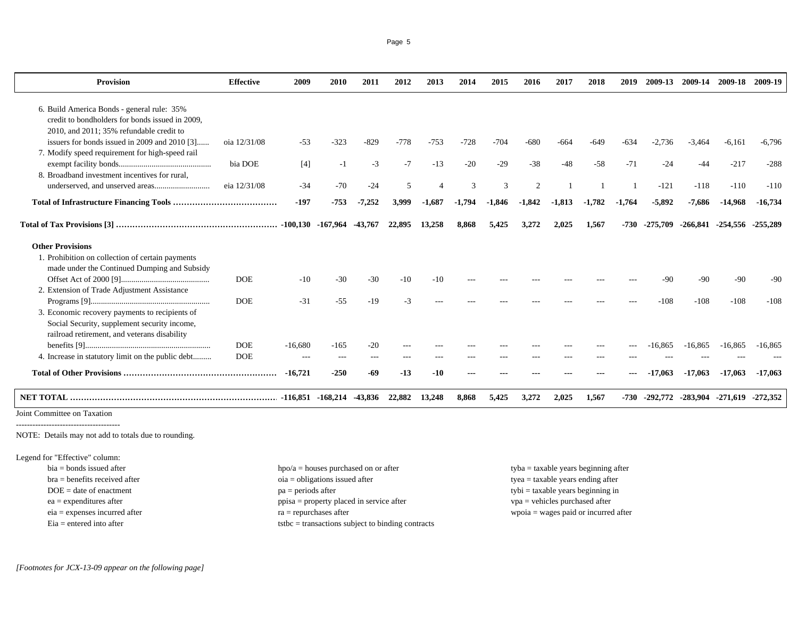| Provision                                         | <b>Effective</b>         | 2009      | 2010                            | 2011     | 2012   | 2013     | 2014     | 2015     | 2016           | 2017     | 2018     | 2019     | 2009-13  | 2009-14   | 2009-18                    | 2009-19    |
|---------------------------------------------------|--------------------------|-----------|---------------------------------|----------|--------|----------|----------|----------|----------------|----------|----------|----------|----------|-----------|----------------------------|------------|
| 6. Build America Bonds - general rule: 35%        |                          |           |                                 |          |        |          |          |          |                |          |          |          |          |           |                            |            |
| credit to bondholders for bonds issued in 2009.   |                          |           |                                 |          |        |          |          |          |                |          |          |          |          |           |                            |            |
| 2010, and 2011; 35% refundable credit to          |                          |           |                                 |          |        |          |          |          |                |          |          |          |          |           |                            |            |
| issuers for bonds issued in 2009 and 2010 [3]     | oia 12/31/08             | $-53$     | $-323$                          | $-829$   | $-778$ | $-753$   | $-728$   | $-704$   | $-680$         | -664     | $-649$   | $-634$   | $-2.736$ | $-3.464$  | $-6,161$                   | $-6,796$   |
| 7. Modify speed requirement for high-speed rail   |                          |           |                                 |          |        |          |          |          |                |          |          |          |          |           |                            |            |
|                                                   | bia DOE                  | $[4]$     | $-1$                            | $-3$     | $-7$   | $-13$    | $-20$    | $-29$    | $-38$          | $-48$    | $-58$    | $-71$    | $-24$    | -44       | $-217$                     | $-288$     |
| 8. Broadband investment incentives for rural.     |                          |           |                                 |          |        |          |          |          |                |          |          |          |          |           |                            |            |
|                                                   | eia 12/31/08             | $-34$     | $-70$                           | $-24$    | 5      |          | 3        | 3        | $\overline{2}$ |          |          |          | $-121$   | $-118$    | $-110$                     | $-110$     |
|                                                   |                          | $-197$    | $-753$                          | $-7,252$ | 3,999  | $-1,687$ | $-1,794$ | $-1,846$ | $-1,842$       | $-1,813$ | $-1,782$ | $-1,764$ | $-5,892$ | $-7,686$  | $-14,968$                  | $-16,734$  |
|                                                   |                          |           | $-100,130$ $-167,964$ $-43,767$ |          | 22,895 | 13,258   | 8,868    | 5,425    | 3.272          | 2.025    | 1,567    | -730     | -275.709 |           | -266,841 -254,556 -255,289 |            |
| <b>Other Provisions</b>                           |                          |           |                                 |          |        |          |          |          |                |          |          |          |          |           |                            |            |
| 1. Prohibition on collection of certain payments  |                          |           |                                 |          |        |          |          |          |                |          |          |          |          |           |                            |            |
| made under the Continued Dumping and Subsidy      |                          |           |                                 |          |        |          |          |          |                |          |          |          |          |           |                            |            |
|                                                   | <b>DOE</b>               | $-10$     | $-30$                           | $-30$    | $-10$  | -10      |          |          |                |          |          |          | -90      | -90       | $-90$                      | -90        |
| 2. Extension of Trade Adjustment Assistance       |                          |           |                                 |          |        |          |          |          |                |          |          |          |          |           |                            |            |
|                                                   | <b>DOE</b>               | $-31$     | $-55$                           | $-19$    | $-3$   |          |          |          |                |          |          |          | $-108$   | $-108$    | $-108$                     | $-108$     |
| 3. Economic recovery payments to recipients of    |                          |           |                                 |          |        |          |          |          |                |          |          |          |          |           |                            |            |
| Social Security, supplement security income,      |                          |           |                                 |          |        |          |          |          |                |          |          |          |          |           |                            |            |
| railroad retirement, and veterans disability      |                          |           |                                 |          |        |          |          |          |                |          |          |          |          |           |                            |            |
|                                                   | <b>DOE</b><br><b>DOE</b> | $-16,680$ | $-165$                          | $-20$    |        |          |          |          |                |          |          |          | -16.865  | $-16.865$ | $-16,865$                  | $-16.865$  |
| 4. Increase in statutory limit on the public debt |                          | $---$     | $---$                           | $- - -$  | $---$  |          | ---      |          |                |          |          |          |          |           |                            |            |
|                                                   |                          | $-16,721$ | $-250$                          | $-69$    | $-13$  | $-10$    |          |          |                |          |          |          | -17.063  | $-17,063$ | $-17,063$                  | $-17,063$  |
|                                                   |                          |           | $-116,851$ $-168,214$           | -43,836  | 22,882 | 13,248   | 8,868    | 5,425    | 3,272          | 2,025    | 1,567    | -730     | -292,772 | -283,904  | -271,619                   | $-272,352$ |
| Loint Committee on Texation                       |                          |           |                                 |          |        |          |          |          |                |          |          |          |          |           |                            |            |

Joint Committee on Taxation --------------------------------------

NOTE: Details may not add to totals due to rounding.

Legend for "Effective" column:

| $bia = bonds$ issued after      | $\text{hpo}/\text{a} = \text{house}$ purchased on or after | $t$ yba = taxable years beginning after          |
|---------------------------------|------------------------------------------------------------|--------------------------------------------------|
| $bra =$ benefits received after | $oia = obligations$ issued after                           | $t$ yea = taxable years ending after             |
| $DOE = date of enactment$       | $pa = periods after$                                       | $t$ <sub>y</sub> bi = taxable years beginning in |
| $ea =$ expenditures after       | ppisa = property placed in service after                   | $vpa =$ vehicles purchased after                 |
| $eia =$ expenses incurred after | $ra = repurchases after$                                   | $wpoia = wages paid or incurred after$           |
| $Eia =$ entered into after      | $t$ stbc = transactions subject to binding contracts       |                                                  |